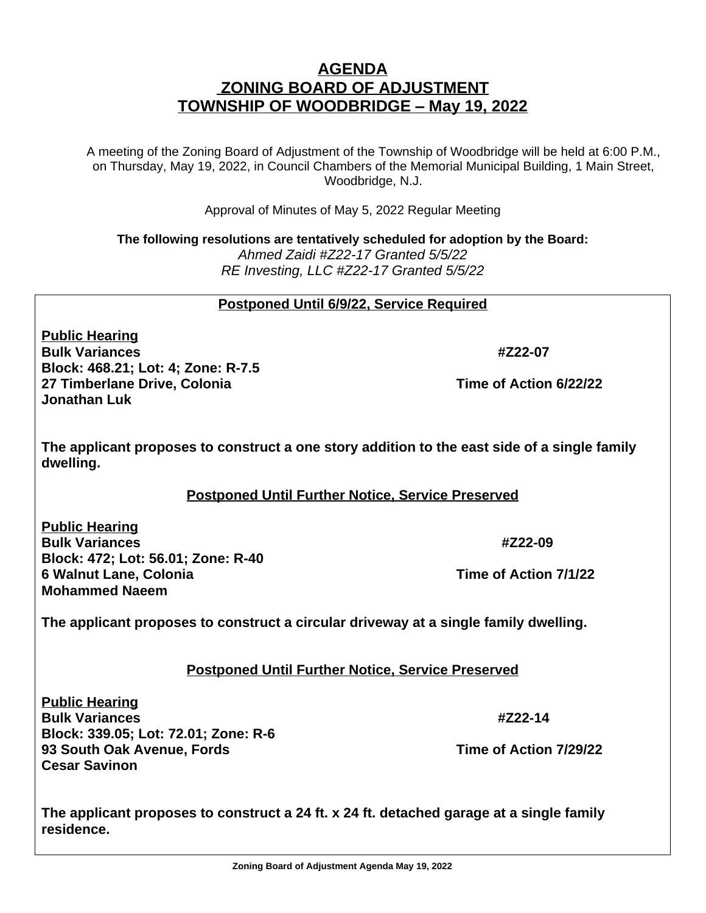## **AGENDA ZONING BOARD OF ADJUSTMENT TOWNSHIP OF WOODBRIDGE – May 19, 2022**

A meeting of the Zoning Board of Adjustment of the Township of Woodbridge will be held at 6:00 P.M., on Thursday, May 19, 2022, in Council Chambers of the Memorial Municipal Building, 1 Main Street, Woodbridge, N.J.

Approval of Minutes of May 5, 2022 Regular Meeting

**The following resolutions are tentatively scheduled for adoption by the Board:** *Ahmed Zaidi #Z22-17 Granted 5/5/22 RE Investing, LLC #Z22-17 Granted 5/5/22*

**Postponed Until 6/9/22, Service Required**

**Public Hearing Bulk Variances** #Z22-07 **Block: 468.21; Lot: 4; Zone: R-7.5 27 Timberlane Drive, Colonia Time of Action 6/22/22 Jonathan Luk**

**The applicant proposes to construct a one story addition to the east side of a single family dwelling.**

## **Postponed Until Further Notice, Service Preserved**

**Public Hearing Bulk Variances #Z22-09 Block: 472; Lot: 56.01; Zone: R-40 6 Walnut Lane, Colonia Time of Action 7/1/22 Mohammed Naeem**

**The applicant proposes to construct a circular driveway at a single family dwelling.**

## **Postponed Until Further Notice, Service Preserved**

**Public Hearing Bulk Variances** #Z22-14 **Block: 339.05; Lot: 72.01; Zone: R-6 93 South Oak Avenue, Fords Time of Action 7/29/22 Cesar Savinon**

**The applicant proposes to construct a 24 ft. x 24 ft. detached garage at a single family residence.**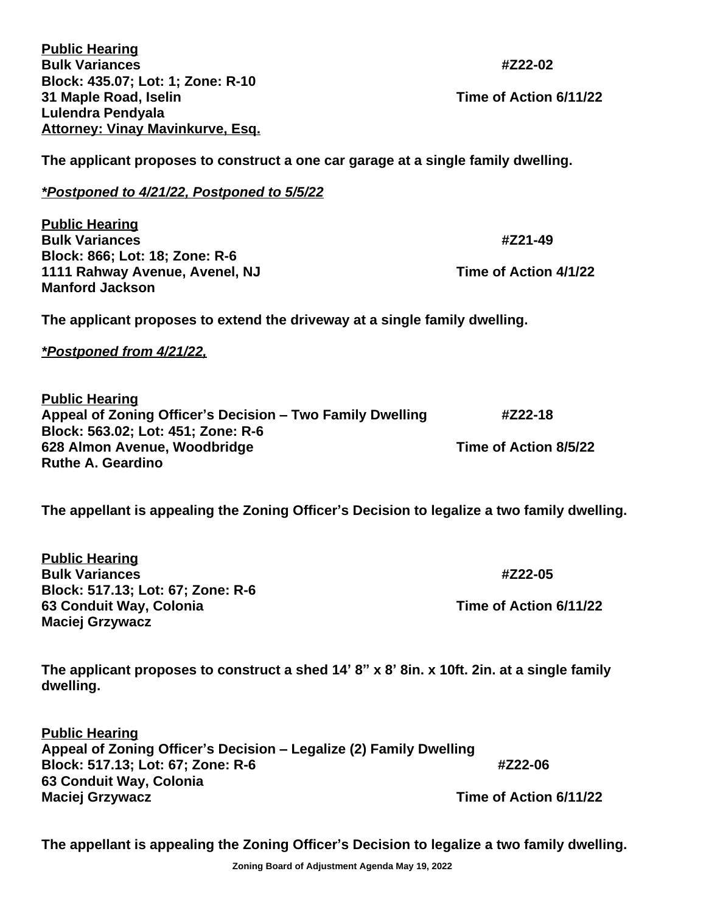| <b>Public Hearing</b><br><b>Bulk Variances</b>                                                                                                                                        | #Z22-02                           |
|---------------------------------------------------------------------------------------------------------------------------------------------------------------------------------------|-----------------------------------|
| Block: 435.07; Lot: 1; Zone: R-10<br>31 Maple Road, Iselin<br>Lulendra Pendyala<br><b>Attorney: Vinay Mavinkurve, Esq.</b>                                                            | Time of Action 6/11/22            |
| The applicant proposes to construct a one car garage at a single family dwelling.                                                                                                     |                                   |
| *Postponed to 4/21/22, Postponed to 5/5/22                                                                                                                                            |                                   |
| <b>Public Hearing</b><br><b>Bulk Variances</b><br>Block: 866; Lot: 18; Zone: R-6<br>1111 Rahway Avenue, Avenel, NJ                                                                    | #Z21-49<br>Time of Action 4/1/22  |
| <b>Manford Jackson</b>                                                                                                                                                                |                                   |
| The applicant proposes to extend the driveway at a single family dwelling.                                                                                                            |                                   |
| <u>*Postponed from 4/21/22,</u>                                                                                                                                                       |                                   |
| <b>Public Hearing</b><br>Appeal of Zoning Officer's Decision - Two Family Dwelling<br>Block: 563.02; Lot: 451; Zone: R-6<br>628 Almon Avenue, Woodbridge<br><b>Ruthe A. Geardino</b>  | #Z22-18<br>Time of Action 8/5/22  |
| The appellant is appealing the Zoning Officer's Decision to legalize a two family dwelling.                                                                                           |                                   |
| <b>Public Hearing</b><br><b>Bulk Variances</b><br>Block: 517.13; Lot: 67; Zone: R-6<br>63 Conduit Way, Colonia<br><b>Maciej Grzywacz</b>                                              | #Z22-05<br>Time of Action 6/11/22 |
| The applicant proposes to construct a shed 14' 8" x 8' 8in. x 10ft. 2in. at a single family<br>dwelling.                                                                              |                                   |
| <b>Public Hearing</b><br>Appeal of Zoning Officer's Decision - Legalize (2) Family Dwelling<br>Block: 517.13; Lot: 67; Zone: R-6<br>63 Conduit Way, Colonia<br><b>Maciej Grzywacz</b> | #Z22-06<br>Time of Action 6/11/22 |

**The appellant is appealing the Zoning Officer's Decision to legalize a two family dwelling.**